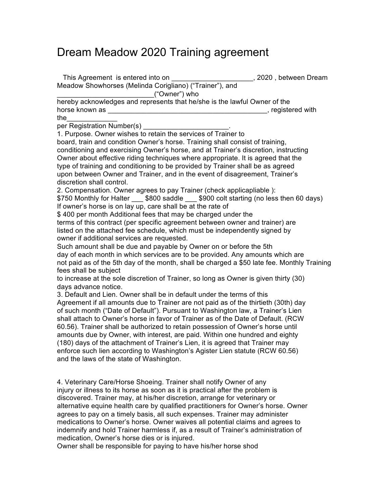## Dream Meadow 2020 Training agreement

This Agreement is entered into on \_\_\_\_\_\_\_\_\_\_\_\_\_\_\_\_\_\_\_\_\_\_\_\_, 2020, between Dream Meadow Showhorses (Melinda Corigliano) ("Trainer"), and \_\_\_\_\_\_\_\_\_\_\_\_\_\_\_\_\_\_\_\_\_\_\_\_\_("Owner") who hereby acknowledges and represents that he/she is the lawful Owner of the horse known as \_\_\_\_\_\_\_\_\_\_\_\_\_\_\_\_\_\_\_\_\_\_\_\_\_\_\_\_\_\_\_\_\_\_\_\_\_\_\_\_\_, registered with the\_\_\_\_\_\_\_\_\_\_\_\_\_ per Registration Number(s) 1. Purpose. Owner wishes to retain the services of Trainer to board, train and condition Owner's horse. Training shall consist of training, conditioning and exercising Owner's horse, and at Trainer's discretion, instructing Owner about effective riding techniques where appropriate. It is agreed that the type of training and conditioning to be provided by Trainer shall be as agreed upon between Owner and Trainer, and in the event of disagreement, Trainer's discretion shall control. 2. Compensation. Owner agrees to pay Trainer (check applicapliable ): \$750 Monthly for Halter \_\_\_ \$800 saddle \_\_\_ \$900 colt starting (no less then 60 days) If owner's horse is on lay up, care shall be at the rate of \$400 per month Additional fees that may be charged under the terms of this contract (per specific agreement between owner and trainer) are listed on the attached fee schedule, which must be independently signed by owner if additional services are requested. Such amount shall be due and payable by Owner on or before the 5th day of each month in which services are to be provided. Any amounts which are not paid as of the 5th day of the month, shall be charged a \$50 late fee. Monthly Training fees shall be subject to increase at the sole discretion of Trainer, so long as Owner is given thirty (30) days advance notice. 3. Default and Lien. Owner shall be in default under the terms of this Agreement if all amounts due to Trainer are not paid as of the thirtieth (30th) day of such month ("Date of Default"). Pursuant to Washington law, a Trainer's Lien shall attach to Owner's horse in favor of Trainer as of the Date of Default. (RCW 60.56). Trainer shall be authorized to retain possession of Owner's horse until amounts due by Owner, with interest, are paid. Within one hundred and eighty (180) days of the attachment of Trainer's Lien, it is agreed that Trainer may enforce such lien according to Washington's Agister Lien statute (RCW 60.56) and the laws of the state of Washington. 4. Veterinary Care/Horse Shoeing. Trainer shall notify Owner of any injury or illness to its horse as soon as it is practical after the problem is discovered. Trainer may, at his/her discretion, arrange for veterinary or alternative equine health care by qualified practitioners for Owner's horse. Owner agrees to pay on a timely basis, all such expenses. Trainer may administer medications to Owner's horse. Owner waives all potential claims and agrees to

indemnify and hold Trainer harmless if, as a result of Trainer's administration of medication, Owner's horse dies or is injured.

Owner shall be responsible for paying to have his/her horse shod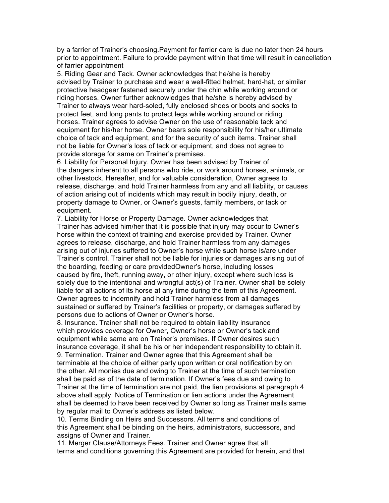by a farrier of Trainer's choosing.Payment for farrier care is due no later then 24 hours prior to appointment. Failure to provide payment within that time will result in cancellation of farrier appointment

5. Riding Gear and Tack. Owner acknowledges that he/she is hereby advised by Trainer to purchase and wear a well-fitted helmet, hard-hat, or similar protective headgear fastened securely under the chin while working around or riding horses. Owner further acknowledges that he/she is hereby advised by Trainer to always wear hard-soled, fully enclosed shoes or boots and socks to protect feet, and long pants to protect legs while working around or riding horses. Trainer agrees to advise Owner on the use of reasonable tack and equipment for his/her horse. Owner bears sole responsibility for his/her ultimate choice of tack and equipment, and for the security of such items. Trainer shall not be liable for Owner's loss of tack or equipment, and does not agree to provide storage for same on Trainer's premises.

6. Liability for Personal Injury. Owner has been advised by Trainer of the dangers inherent to all persons who ride, or work around horses, animals, or other livestock. Hereafter, and for valuable consideration, Owner agrees to release, discharge, and hold Trainer harmless from any and all liability, or causes of action arising out of incidents which may result in bodily injury, death, or property damage to Owner, or Owner's guests, family members, or tack or equipment.

7. Liability for Horse or Property Damage. Owner acknowledges that Trainer has advised him/her that it is possible that injury may occur to Owner's horse within the context of training and exercise provided by Trainer. Owner agrees to release, discharge, and hold Trainer harmless from any damages arising out of injuries suffered to Owner's horse while such horse is/are under Trainer's control. Trainer shall not be liable for injuries or damages arising out of the boarding, feeding or care providedOwner's horse, including losses caused by fire, theft, running away, or other injury, except where such loss is solely due to the intentional and wrongful act(s) of Trainer. Owner shall be solely liable for all actions of its horse at any time during the term of this Agreement. Owner agrees to indemnify and hold Trainer harmless from all damages sustained or suffered by Trainer's facilities or property, or damages suffered by persons due to actions of Owner or Owner's horse.

8. Insurance. Trainer shall not be required to obtain liability insurance which provides coverage for Owner, Owner's horse or Owner's tack and equipment while same are on Trainer's premises. If Owner desires such insurance coverage, it shall be his or her independent responsibility to obtain it. 9. Termination. Trainer and Owner agree that this Agreement shall be terminable at the choice of either party upon written or oral notification by on the other. All monies due and owing to Trainer at the time of such termination shall be paid as of the date of termination. If Owner's fees due and owing to Trainer at the time of termination are not paid, the lien provisions at paragraph 4 above shall apply. Notice of Termination or lien actions under the Agreement shall be deemed to have been received by Owner so long as Trainer mails same by regular mail to Owner's address as listed below.

10. Terms Binding on Heirs and Successors. All terms and conditions of this Agreement shall be binding on the heirs, administrators, successors, and assigns of Owner and Trainer.

11. Merger Clause/Attorneys Fees. Trainer and Owner agree that all terms and conditions governing this Agreement are provided for herein, and that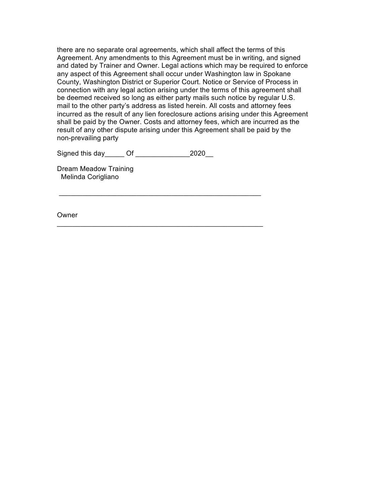there are no separate oral agreements, which shall affect the terms of this Agreement. Any amendments to this Agreement must be in writing, and signed and dated by Trainer and Owner. Legal actions which may be required to enforce any aspect of this Agreement shall occur under Washington law in Spokane County, Washington District or Superior Court. Notice or Service of Process in connection with any legal action arising under the terms of this agreement shall be deemed received so long as either party mails such notice by regular U.S. mail to the other party's address as listed herein. All costs and attorney fees incurred as the result of any lien foreclosure actions arising under this Agreement shall be paid by the Owner. Costs and attorney fees, which are incurred as the result of any other dispute arising under this Agreement shall be paid by the non-prevailing party

Signed this day of 2020

\_\_\_\_\_\_\_\_\_\_\_\_\_\_\_\_\_\_\_\_\_\_\_\_\_\_\_\_\_\_\_\_\_\_\_\_\_\_\_\_\_\_\_\_\_\_\_\_\_\_\_\_

 $\mathcal{L}_\mathcal{L}$  , and the contribution of the contribution of  $\mathcal{L}_\mathcal{L}$ 

Dream Meadow Training Melinda Corigliano

Owner